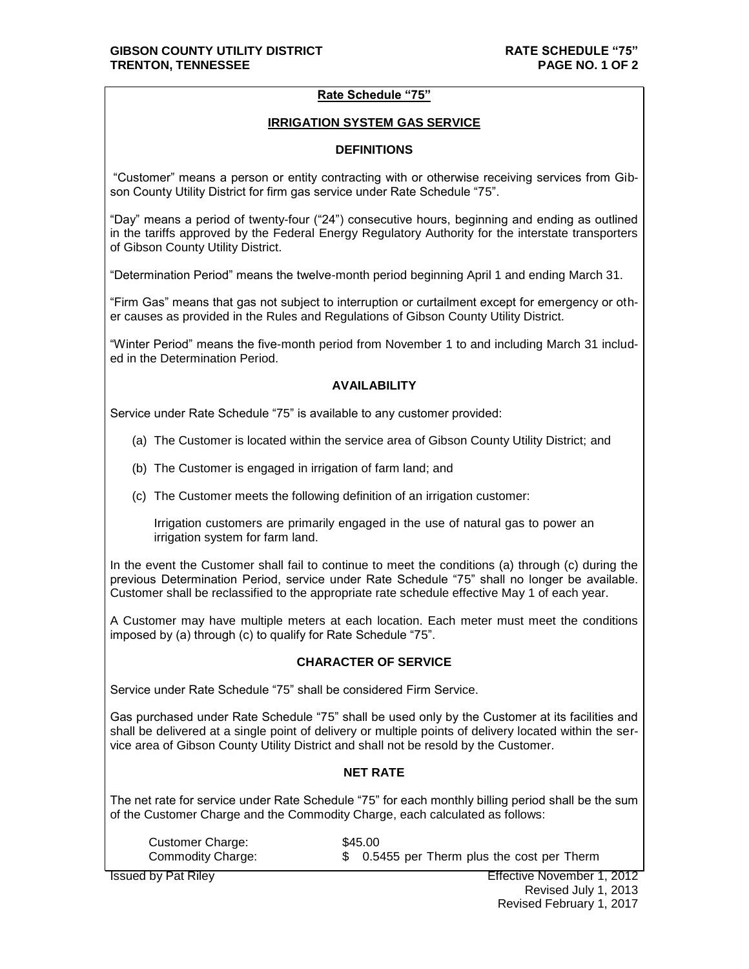# **Rate Schedule "75"**

### **IRRIGATION SYSTEM GAS SERVICE**

#### **DEFINITIONS**

"Customer" means a person or entity contracting with or otherwise receiving services from Gibson County Utility District for firm gas service under Rate Schedule "75".

"Day" means a period of twenty-four ("24") consecutive hours, beginning and ending as outlined in the tariffs approved by the Federal Energy Regulatory Authority for the interstate transporters of Gibson County Utility District.

"Determination Period" means the twelve-month period beginning April 1 and ending March 31.

"Firm Gas" means that gas not subject to interruption or curtailment except for emergency or other causes as provided in the Rules and Regulations of Gibson County Utility District.

"Winter Period" means the five-month period from November 1 to and including March 31 included in the Determination Period.

# **AVAILABILITY**

Service under Rate Schedule "75" is available to any customer provided:

- (a) The Customer is located within the service area of Gibson County Utility District; and
- (b) The Customer is engaged in irrigation of farm land; and
- (c) The Customer meets the following definition of an irrigation customer:

Irrigation customers are primarily engaged in the use of natural gas to power an irrigation system for farm land.

In the event the Customer shall fail to continue to meet the conditions (a) through (c) during the previous Determination Period, service under Rate Schedule "75" shall no longer be available. Customer shall be reclassified to the appropriate rate schedule effective May 1 of each year.

A Customer may have multiple meters at each location. Each meter must meet the conditions imposed by (a) through (c) to qualify for Rate Schedule "75".

#### **CHARACTER OF SERVICE**

Service under Rate Schedule "75" shall be considered Firm Service.

Gas purchased under Rate Schedule "75" shall be used only by the Customer at its facilities and shall be delivered at a single point of delivery or multiple points of delivery located within the service area of Gibson County Utility District and shall not be resold by the Customer.

#### **NET RATE**

The net rate for service under Rate Schedule "75" for each monthly billing period shall be the sum of the Customer Charge and the Commodity Charge, each calculated as follows:

| Customer Charge:  | \$45.00                                     |
|-------------------|---------------------------------------------|
| Commodity Charge: | \$ 0.5455 per Therm plus the cost per Therm |

**Issued by Pat Riley Issued by Pat Riley ISSUED 2012** Revised July 1, 2013 Revised February 1, 2017